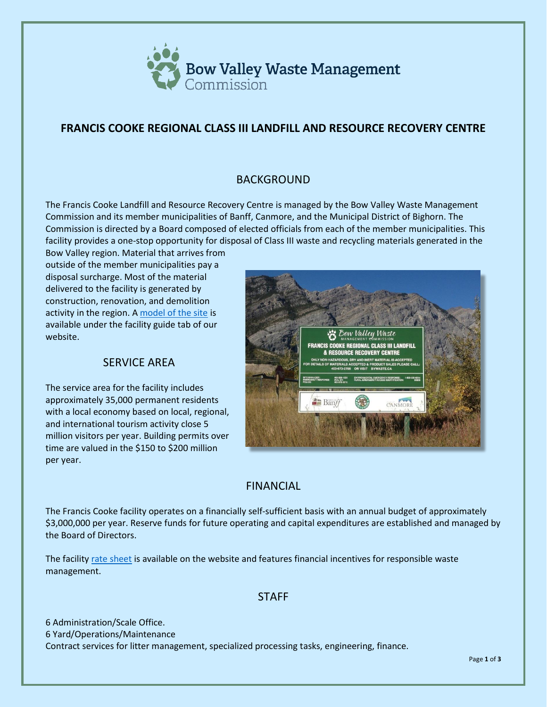

# **FRANCIS COOKE REGIONAL CLASS III LANDFILL AND RESOURCE RECOVERY CENTRE**

## BACKGROUND

The Francis Cooke Landfill and Resource Recovery Centre is managed by the Bow Valley Waste Management Commission and its member municipalities of Banff, Canmore, and the Municipal District of Bighorn. The Commission is directed by a Board composed of elected officials from each of the member municipalities. This facility provides a one-stop opportunity for disposal of Class III waste and recycling materials generated in the

Bow Valley region. Material that arrives from outside of the member municipalities pay a disposal surcharge. Most of the material delivered to the facility is generated by construction, renovation, and demolition activity in the region. A [model of the site](https://bvwaste.ca/facility-guide/#facility-guide-and-model) is available under the facility guide tab of our website.

### SERVICE AREA

The service area for the facility includes approximately 35,000 permanent residents with a local economy based on local, regional, and international tourism activity close 5 million visitors per year. Building permits over time are valued in the \$150 to \$200 million per year.



### FINANCIAL

The Francis Cooke facility operates on a financially self-sufficient basis with an annual budget of approximately \$3,000,000 per year. Reserve funds for future operating and capital expenditures are established and managed by the Board of Directors.

The facility [rate sheet](https://bvwaste.ca/wp-content/uploads/2021/12/BVWMC-Rate-Sheet-For-2022-Ver-20-12-21-C.pdf) is available on the website and features financial incentives for responsible waste management.

#### **STAFF**

6 Administration/Scale Office. 6 Yard/Operations/Maintenance Contract services for litter management, specialized processing tasks, engineering, finance.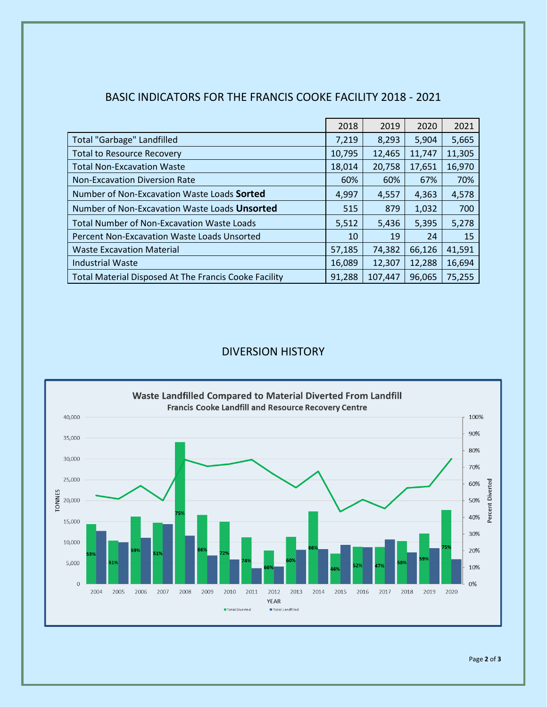| <b>BASIC INDICATORS FOR THE FRANCIS COOKE FACILITY 2018 - 2021</b> |
|--------------------------------------------------------------------|
|--------------------------------------------------------------------|

|                                                              | 2018   | 2019    | 2020   | 2021   |
|--------------------------------------------------------------|--------|---------|--------|--------|
| <b>Total "Garbage" Landfilled</b>                            | 7,219  | 8,293   | 5,904  | 5,665  |
| <b>Total to Resource Recovery</b>                            | 10,795 | 12,465  | 11,747 | 11,305 |
| <b>Total Non-Excavation Waste</b>                            | 18,014 | 20,758  | 17,651 | 16,970 |
| <b>Non-Excavation Diversion Rate</b>                         | 60%    | 60%     | 67%    | 70%    |
| Number of Non-Excavation Waste Loads Sorted                  | 4,997  | 4,557   | 4,363  | 4,578  |
| Number of Non-Excavation Waste Loads Unsorted                | 515    | 879     | 1,032  | 700    |
| <b>Total Number of Non-Excavation Waste Loads</b>            | 5,512  | 5,436   | 5,395  | 5,278  |
| <b>Percent Non-Excavation Waste Loads Unsorted</b>           | 10     | 19      | 24     | 15     |
| <b>Waste Excavation Material</b>                             | 57,185 | 74,382  | 66,126 | 41,591 |
| <b>Industrial Waste</b>                                      | 16,089 | 12,307  | 12,288 | 16,694 |
| <b>Total Material Disposed At The Francis Cooke Facility</b> | 91,288 | 107,447 | 96,065 | 75,255 |

## DIVERSION HISTORY